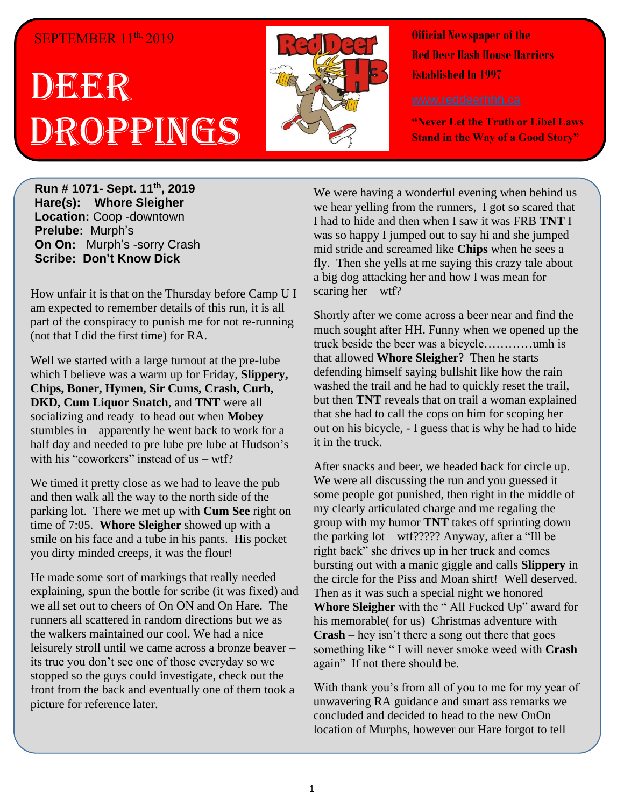## SEPTEMBER 11<sup>th,</sup> 2019

## **DEER** Droppings



**Official Newspaper of the Red Deer Hash House Harriers Established In 1997** 

**"Never Let the Truth or Libel Laws Stand in the Way of a Good Story"**

**Run # 1071- Sept. 11th, 2019 Hare(s): Whore Sleigher Location:** Coop -downtown **Prelube:** Murph's **On On:** Murph's -sorry Crash **Scribe: Don't Know Dick**

How unfair it is that on the Thursday before Camp U I am expected to remember details of this run, it is all part of the conspiracy to punish me for not re-running (not that I did the first time) for RA.

Well we started with a large turnout at the pre-lube which I believe was a warm up for Friday, **Slippery, Chips, Boner, Hymen, Sir Cums, Crash, Curb, DKD, Cum Liquor Snatch**, and **TNT** were all socializing and ready to head out when **Mobey** stumbles in – apparently he went back to work for a half day and needed to pre lube pre lube at Hudson's with his "coworkers" instead of  $us - wtf$ ?

We timed it pretty close as we had to leave the pub and then walk all the way to the north side of the parking lot. There we met up with **Cum See** right on time of 7:05. **Whore Sleigher** showed up with a smile on his face and a tube in his pants. His pocket you dirty minded creeps, it was the flour!

He made some sort of markings that really needed explaining, spun the bottle for scribe (it was fixed) and we all set out to cheers of On ON and On Hare. The runners all scattered in random directions but we as the walkers maintained our cool. We had a nice leisurely stroll until we came across a bronze beaver – its true you don't see one of those everyday so we stopped so the guys could investigate, check out the front from the back and eventually one of them took a picture for reference later.

We were having a wonderful evening when behind us we hear yelling from the runners, I got so scared that I had to hide and then when I saw it was FRB **TNT** I was so happy I jumped out to say hi and she jumped mid stride and screamed like **Chips** when he sees a fly. Then she yells at me saying this crazy tale about a big dog attacking her and how I was mean for scaring her – wtf?

Shortly after we come across a beer near and find the much sought after HH. Funny when we opened up the truck beside the beer was a bicycle…………umh is that allowed **Whore Sleigher**? Then he starts defending himself saying bullshit like how the rain washed the trail and he had to quickly reset the trail, but then **TNT** reveals that on trail a woman explained that she had to call the cops on him for scoping her out on his bicycle, - I guess that is why he had to hide it in the truck.

After snacks and beer, we headed back for circle up. We were all discussing the run and you guessed it some people got punished, then right in the middle of my clearly articulated charge and me regaling the group with my humor **TNT** takes off sprinting down the parking lot – wtf????? Anyway, after a "Ill be right back" she drives up in her truck and comes bursting out with a manic giggle and calls **Slippery** in the circle for the Piss and Moan shirt! Well deserved. Then as it was such a special night we honored **Whore Sleigher** with the " All Fucked Up" award for his memorable( for us) Christmas adventure with **Crash** – hey isn't there a song out there that goes something like " I will never smoke weed with **Crash** again" If not there should be.

With thank you's from all of you to me for my year of unwavering RA guidance and smart ass remarks we concluded and decided to head to the new OnOn location of Murphs, however our Hare forgot to tell